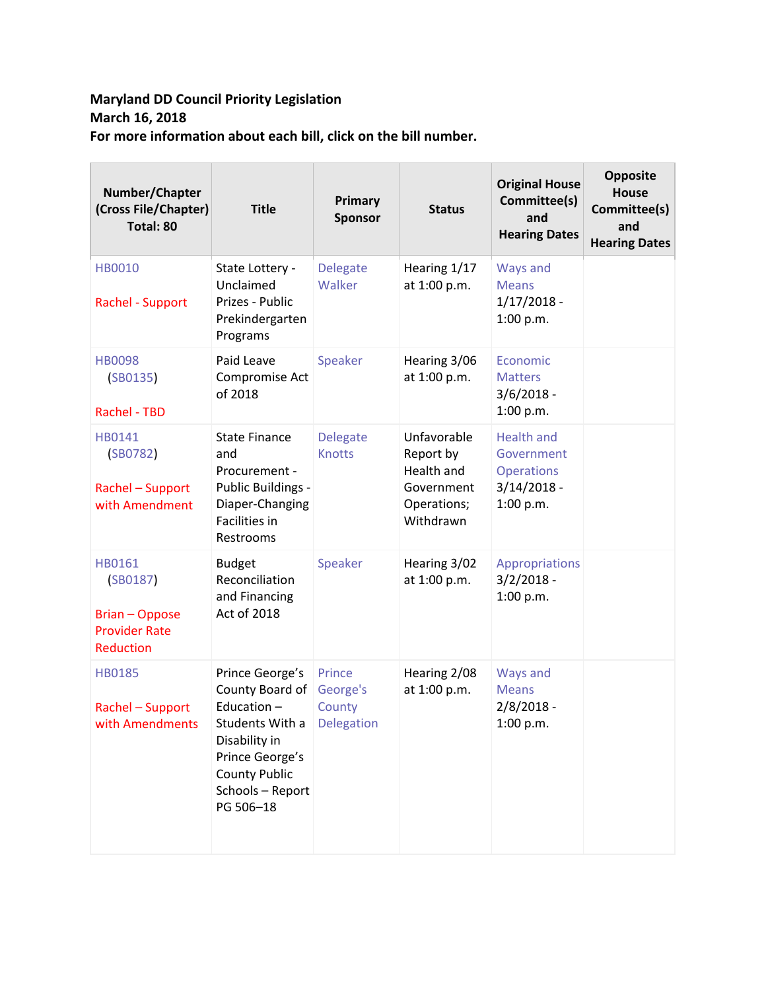## **Maryland DD Council Priority Legislation March 16, 2018 For more information about each bill, click on the bill number.**

| Number/Chapter<br>(Cross File/Chapter)<br>Total: 80                              | <b>Title</b>                                                                                                                                                     | Primary<br><b>Sponsor</b>                         | <b>Status</b>                                                                    | <b>Original House</b><br>Committee(s)<br>and<br><b>Hearing Dates</b>               | <b>Opposite</b><br><b>House</b><br>Committee(s)<br>and<br><b>Hearing Dates</b> |
|----------------------------------------------------------------------------------|------------------------------------------------------------------------------------------------------------------------------------------------------------------|---------------------------------------------------|----------------------------------------------------------------------------------|------------------------------------------------------------------------------------|--------------------------------------------------------------------------------|
| <b>HB0010</b><br>Rachel - Support                                                | State Lottery -<br>Unclaimed<br>Prizes - Public<br>Prekindergarten<br>Programs                                                                                   | Delegate<br>Walker                                | Hearing 1/17<br>at 1:00 p.m.                                                     | Ways and<br><b>Means</b><br>$1/17/2018 -$<br>1:00 p.m.                             |                                                                                |
| <b>HB0098</b><br>(SB0135)<br>Rachel - TBD                                        | Paid Leave<br>Compromise Act<br>of 2018                                                                                                                          | Speaker                                           | Hearing 3/06<br>at 1:00 p.m.                                                     | Economic<br><b>Matters</b><br>$3/6/2018 -$<br>1:00 p.m.                            |                                                                                |
| HB0141<br>(SB0782)<br>Rachel - Support<br>with Amendment                         | <b>State Finance</b><br>and<br>Procurement -<br>Public Buildings -<br>Diaper-Changing<br>Facilities in<br>Restrooms                                              | <b>Delegate</b><br><b>Knotts</b>                  | Unfavorable<br>Report by<br>Health and<br>Government<br>Operations;<br>Withdrawn | <b>Health and</b><br>Government<br><b>Operations</b><br>$3/14/2018 -$<br>1:00 p.m. |                                                                                |
| HB0161<br>(SB0187)<br><b>Brian - Oppose</b><br><b>Provider Rate</b><br>Reduction | <b>Budget</b><br>Reconciliation<br>and Financing<br>Act of 2018                                                                                                  | Speaker                                           | Hearing 3/02<br>at 1:00 p.m.                                                     | Appropriations<br>$3/2/2018 -$<br>1:00 p.m.                                        |                                                                                |
| <b>HB0185</b><br>Rachel - Support<br>with Amendments                             | Prince George's<br>County Board of<br>Education-<br>Students With a<br>Disability in<br>Prince George's<br><b>County Public</b><br>Schools - Report<br>PG 506-18 | Prince<br>George's<br>County<br><b>Delegation</b> | Hearing 2/08<br>at 1:00 p.m.                                                     | <b>Ways and</b><br><b>Means</b><br>$2/8/2018 -$<br>1:00 p.m.                       |                                                                                |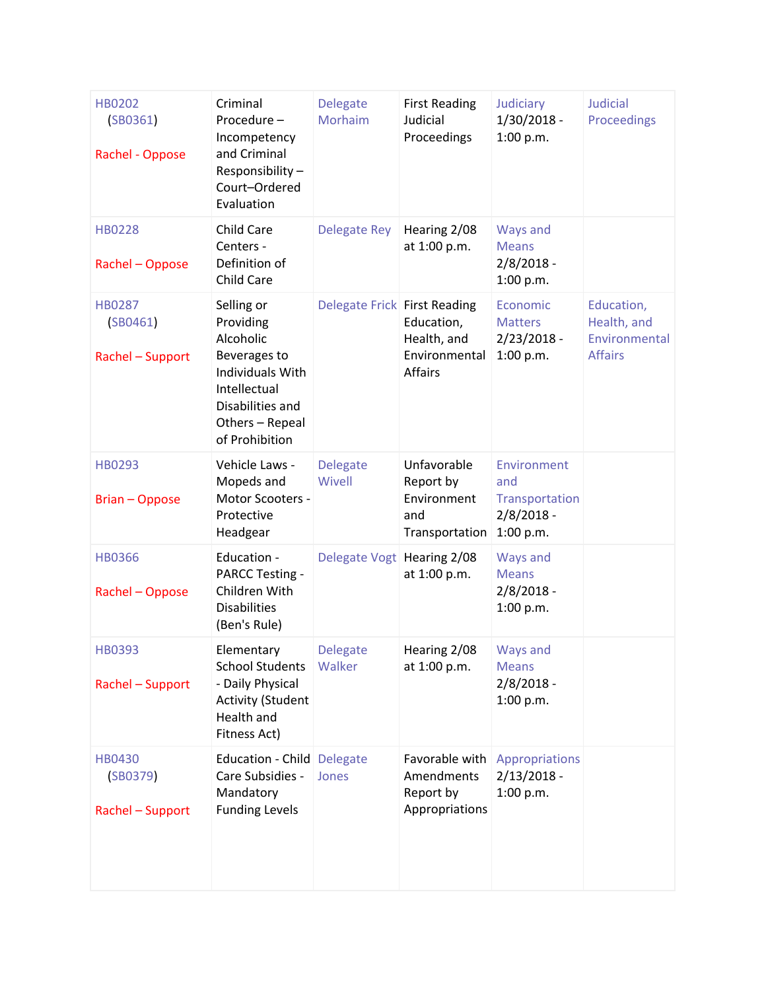| <b>HB0202</b><br>(SB0361)<br>Rachel - Oppose  | Criminal<br>Procedure-<br>Incompetency<br>and Criminal<br>Responsibility-<br>Court-Ordered<br>Evaluation                                          | <b>Delegate</b><br>Morhaim   | <b>First Reading</b><br>Judicial<br>Proceedings                  | Judiciary<br>$1/30/2018 -$<br>1:00 p.m.                           | <b>Judicial</b><br>Proceedings                               |
|-----------------------------------------------|---------------------------------------------------------------------------------------------------------------------------------------------------|------------------------------|------------------------------------------------------------------|-------------------------------------------------------------------|--------------------------------------------------------------|
| <b>HB0228</b><br>Rachel - Oppose              | Child Care<br>Centers -<br>Definition of<br><b>Child Care</b>                                                                                     | Delegate Rey                 | Hearing 2/08<br>at 1:00 p.m.                                     | Ways and<br><b>Means</b><br>$2/8/2018 -$<br>1:00 p.m.             |                                                              |
| <b>HB0287</b><br>(SB0461)<br>Rachel - Support | Selling or<br>Providing<br>Alcoholic<br>Beverages to<br>Individuals With<br>Intellectual<br>Disabilities and<br>Others - Repeal<br>of Prohibition | Delegate Frick First Reading | Education,<br>Health, and<br>Environmental<br>Affairs            | Economic<br><b>Matters</b><br>$2/23/2018 -$<br>1:00 p.m.          | Education,<br>Health, and<br>Environmental<br><b>Affairs</b> |
| HB0293<br><b>Brian - Oppose</b>               | Vehicle Laws -<br>Mopeds and<br>Motor Scooters -<br>Protective<br>Headgear                                                                        | <b>Delegate</b><br>Wivell    | Unfavorable<br>Report by<br>Environment<br>and<br>Transportation | Environment<br>and<br>Transportation<br>$2/8/2018 -$<br>1:00 p.m. |                                                              |
| <b>HB0366</b><br>Rachel - Oppose              | Education -<br><b>PARCC Testing -</b><br>Children With<br><b>Disabilities</b><br>(Ben's Rule)                                                     | Delegate Vogt Hearing 2/08   | at 1:00 p.m.                                                     | Ways and<br><b>Means</b><br>$2/8/2018 -$<br>1:00 p.m.             |                                                              |
| HB0393<br>Rachel - Support                    | Elementary<br><b>School Students</b><br>- Daily Physical<br><b>Activity (Student</b><br>Health and<br>Fitness Act)                                | <b>Delegate</b><br>Walker    | Hearing 2/08<br>at 1:00 p.m.                                     | Ways and<br><b>Means</b><br>$2/8/2018 -$<br>1:00 p.m.             |                                                              |
| <b>HB0430</b><br>(SB0379)<br>Rachel - Support | Education - Child Delegate<br>Care Subsidies -<br>Mandatory<br><b>Funding Levels</b>                                                              | Jones                        | Favorable with<br>Amendments<br>Report by<br>Appropriations      | Appropriations<br>$2/13/2018 -$<br>1:00 p.m.                      |                                                              |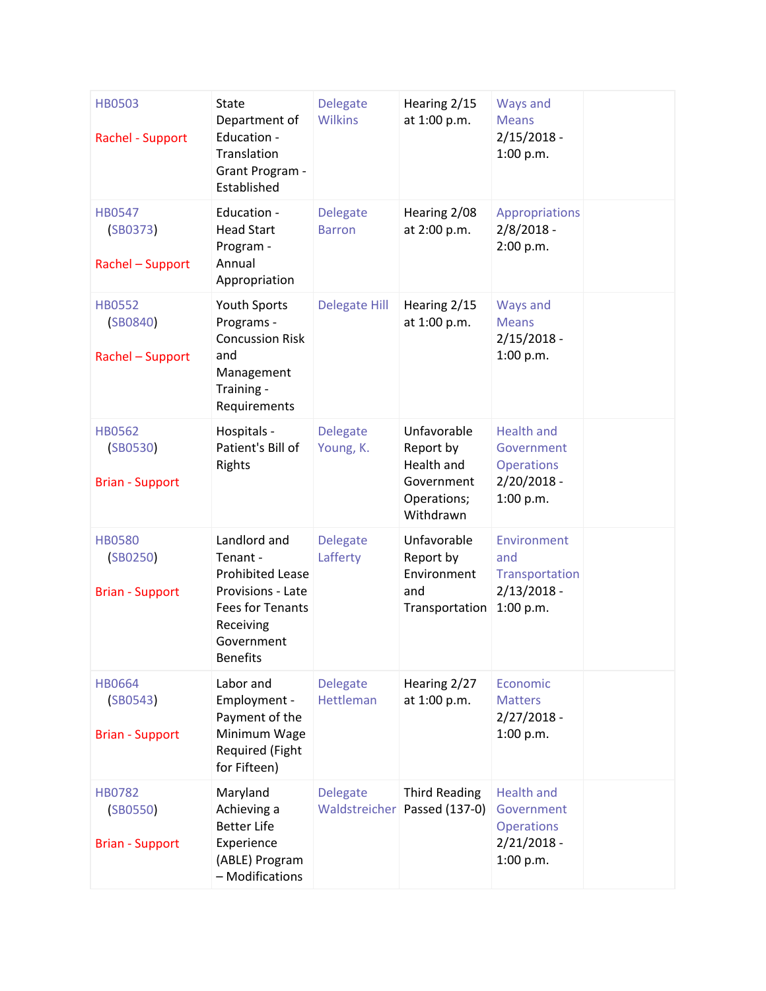| <b>HB0503</b><br><b>Rachel - Support</b>            | State<br>Department of<br>Education -<br>Translation<br>Grant Program -<br>Established                                                            | <b>Delegate</b><br><b>Wilkins</b> | Hearing 2/15<br>at 1:00 p.m.                                                     | Ways and<br><b>Means</b><br>$2/15/2018 -$<br>1:00 p.m.                             |  |
|-----------------------------------------------------|---------------------------------------------------------------------------------------------------------------------------------------------------|-----------------------------------|----------------------------------------------------------------------------------|------------------------------------------------------------------------------------|--|
| <b>HB0547</b><br>(SB0373)<br>Rachel - Support       | Education -<br><b>Head Start</b><br>Program -<br>Annual<br>Appropriation                                                                          | <b>Delegate</b><br><b>Barron</b>  | Hearing 2/08<br>at 2:00 p.m.                                                     | Appropriations<br>$2/8/2018 -$<br>2:00 p.m.                                        |  |
| <b>HB0552</b><br>(SB0840)<br>Rachel - Support       | Youth Sports<br>Programs -<br><b>Concussion Risk</b><br>and<br>Management<br>Training -<br>Requirements                                           | <b>Delegate Hill</b>              | Hearing 2/15<br>at 1:00 p.m.                                                     | Ways and<br><b>Means</b><br>$2/15/2018 -$<br>1:00 p.m.                             |  |
| <b>HB0562</b><br>(SB0530)<br><b>Brian - Support</b> | Hospitals -<br>Patient's Bill of<br>Rights                                                                                                        | <b>Delegate</b><br>Young, K.      | Unfavorable<br>Report by<br>Health and<br>Government<br>Operations;<br>Withdrawn | <b>Health and</b><br>Government<br><b>Operations</b><br>$2/20/2018 -$<br>1:00 p.m. |  |
| <b>HB0580</b><br>(SB0250)<br><b>Brian - Support</b> | Landlord and<br>Tenant -<br><b>Prohibited Lease</b><br>Provisions - Late<br><b>Fees for Tenants</b><br>Receiving<br>Government<br><b>Benefits</b> | <b>Delegate</b><br>Lafferty       | Unfavorable<br>Report by<br>Environment<br>and<br>Transportation                 | Environment<br>and<br>Transportation<br>$2/13/2018 -$<br>1:00 p.m.                 |  |
| <b>HB0664</b><br>(SB0543)<br><b>Brian - Support</b> | Labor and<br>Employment -<br>Payment of the<br>Minimum Wage<br>Required (Fight<br>for Fifteen)                                                    | <b>Delegate</b><br>Hettleman      | Hearing 2/27<br>at 1:00 p.m.                                                     | Economic<br><b>Matters</b><br>$2/27/2018 -$<br>1:00 p.m.                           |  |
| <b>HB0782</b><br>(SB0550)<br><b>Brian - Support</b> | Maryland<br>Achieving a<br><b>Better Life</b><br>Experience<br>(ABLE) Program<br>- Modifications                                                  | <b>Delegate</b>                   | <b>Third Reading</b><br>Waldstreicher Passed (137-0)                             | <b>Health and</b><br>Government<br><b>Operations</b><br>$2/21/2018 -$<br>1:00 p.m. |  |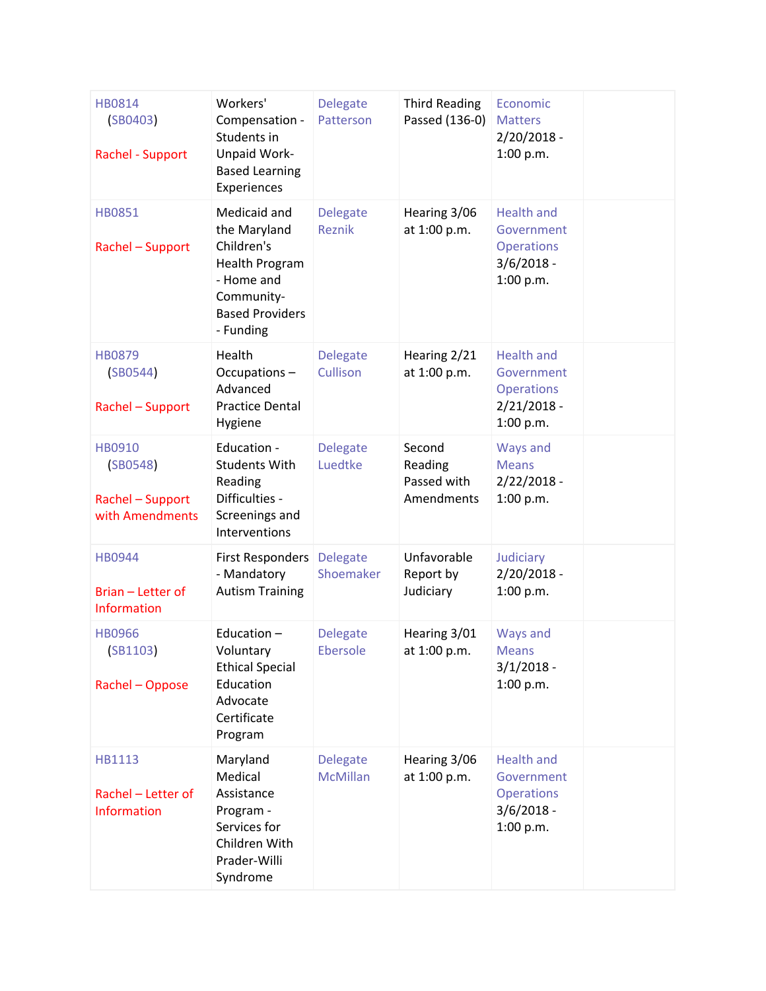| HB0814<br>(SB0403)<br>Rachel - Support                    | Workers'<br>Compensation -<br>Students in<br>Unpaid Work-<br><b>Based Learning</b><br>Experiences                               | <b>Delegate</b><br>Patterson       | <b>Third Reading</b><br>Passed (136-0)         | Economic<br><b>Matters</b><br>$2/20/2018 -$<br>1:00 p.m.                           |  |
|-----------------------------------------------------------|---------------------------------------------------------------------------------------------------------------------------------|------------------------------------|------------------------------------------------|------------------------------------------------------------------------------------|--|
| <b>HB0851</b><br>Rachel - Support                         | Medicaid and<br>the Maryland<br>Children's<br>Health Program<br>- Home and<br>Community-<br><b>Based Providers</b><br>- Funding | <b>Delegate</b><br>Reznik          | Hearing 3/06<br>at 1:00 p.m.                   | <b>Health and</b><br>Government<br><b>Operations</b><br>$3/6/2018 -$<br>1:00 p.m.  |  |
| <b>HB0879</b><br>(SB0544)<br>Rachel - Support             | Health<br>Occupations-<br>Advanced<br><b>Practice Dental</b><br>Hygiene                                                         | <b>Delegate</b><br>Cullison        | Hearing 2/21<br>at 1:00 p.m.                   | <b>Health and</b><br>Government<br><b>Operations</b><br>$2/21/2018 -$<br>1:00 p.m. |  |
| HB0910<br>(SB0548)<br>Rachel - Support<br>with Amendments | Education -<br><b>Students With</b><br>Reading<br>Difficulties -<br>Screenings and<br>Interventions                             | <b>Delegate</b><br>Luedtke         | Second<br>Reading<br>Passed with<br>Amendments | Ways and<br><b>Means</b><br>$2/22/2018 -$<br>1:00 p.m.                             |  |
| <b>HB0944</b><br>Brian - Letter of<br>Information         | <b>First Responders</b><br>- Mandatory<br><b>Autism Training</b>                                                                | <b>Delegate</b><br>Shoemaker       | Unfavorable<br>Report by<br>Judiciary          | Judiciary<br>$2/20/2018 -$<br>1:00 p.m.                                            |  |
| <b>HB0966</b><br>(SB1103)<br>Rachel - Oppose              | Education-<br>Voluntary<br><b>Ethical Special</b><br>Education<br>Advocate<br>Certificate<br>Program                            | <b>Delegate</b><br>Ebersole        | Hearing 3/01<br>at 1:00 p.m.                   | Ways and<br><b>Means</b><br>$3/1/2018 -$<br>1:00 p.m.                              |  |
| HB1113<br>Rachel - Letter of<br>Information               | Maryland<br>Medical<br>Assistance<br>Program -<br>Services for<br>Children With<br>Prader-Willi<br>Syndrome                     | <b>Delegate</b><br><b>McMillan</b> | Hearing 3/06<br>at 1:00 p.m.                   | <b>Health and</b><br>Government<br><b>Operations</b><br>$3/6/2018 -$<br>1:00 p.m.  |  |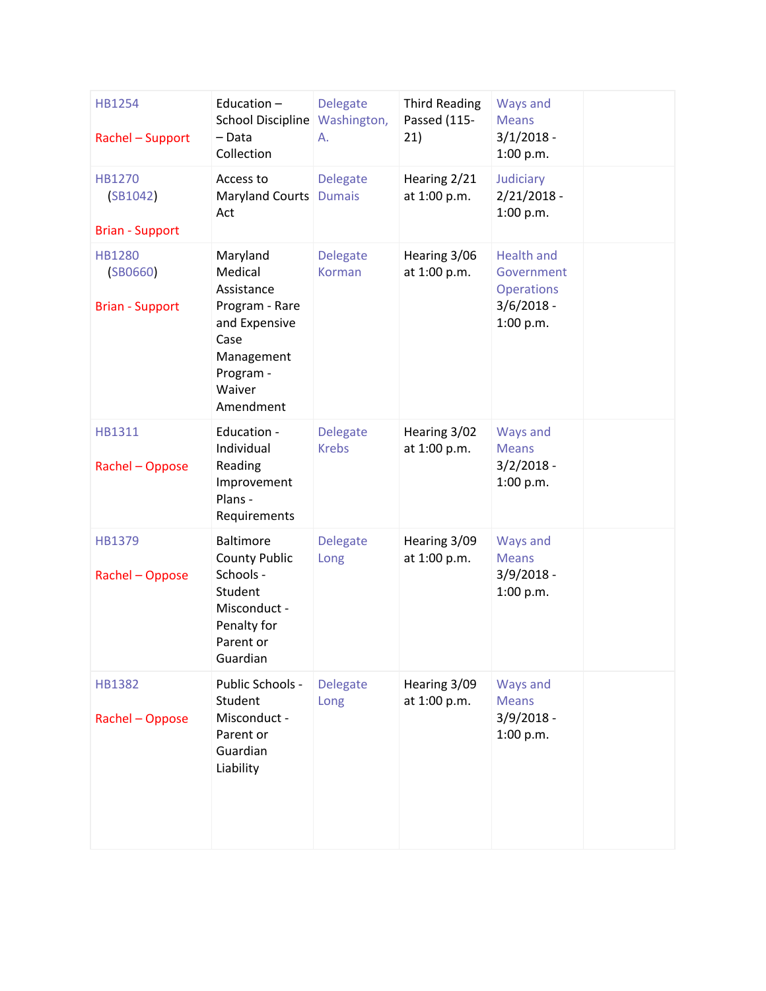| HB1254<br>Rachel - Support                          | Education $-$<br>School Discipline Washington,<br>- Data<br>Collection                                                         | <b>Delegate</b><br>А.            | <b>Third Reading</b><br>Passed (115-<br>21) | Ways and<br><b>Means</b><br>$3/1/2018 -$<br>1:00 p.m.                             |  |
|-----------------------------------------------------|--------------------------------------------------------------------------------------------------------------------------------|----------------------------------|---------------------------------------------|-----------------------------------------------------------------------------------|--|
| <b>HB1270</b><br>(SB1042)<br><b>Brian - Support</b> | Access to<br>Maryland Courts<br>Act                                                                                            | <b>Delegate</b><br><b>Dumais</b> | Hearing 2/21<br>at 1:00 p.m.                | Judiciary<br>$2/21/2018 -$<br>1:00 p.m.                                           |  |
| <b>HB1280</b><br>(SB0660)<br><b>Brian - Support</b> | Maryland<br>Medical<br>Assistance<br>Program - Rare<br>and Expensive<br>Case<br>Management<br>Program -<br>Waiver<br>Amendment | <b>Delegate</b><br>Korman        | Hearing 3/06<br>at 1:00 p.m.                | <b>Health and</b><br>Government<br><b>Operations</b><br>$3/6/2018 -$<br>1:00 p.m. |  |
| HB1311<br>Rachel - Oppose                           | Education -<br>Individual<br>Reading<br>Improvement<br>Plans -<br>Requirements                                                 | <b>Delegate</b><br><b>Krebs</b>  | Hearing 3/02<br>at 1:00 p.m.                | Ways and<br><b>Means</b><br>$3/2/2018 -$<br>1:00 p.m.                             |  |
| HB1379<br>Rachel - Oppose                           | <b>Baltimore</b><br><b>County Public</b><br>Schools -<br>Student<br>Misconduct -<br>Penalty for<br>Parent or<br>Guardian       | <b>Delegate</b><br>Long          | Hearing 3/09<br>at 1:00 p.m.                | Ways and<br><b>Means</b><br>$3/9/2018 -$<br>1:00 p.m.                             |  |
| <b>HB1382</b><br>Rachel - Oppose                    | Public Schools -<br>Student<br>Misconduct -<br>Parent or<br>Guardian<br>Liability                                              | <b>Delegate</b><br>Long          | Hearing 3/09<br>at 1:00 p.m.                | Ways and<br><b>Means</b><br>$3/9/2018 -$<br>1:00 p.m.                             |  |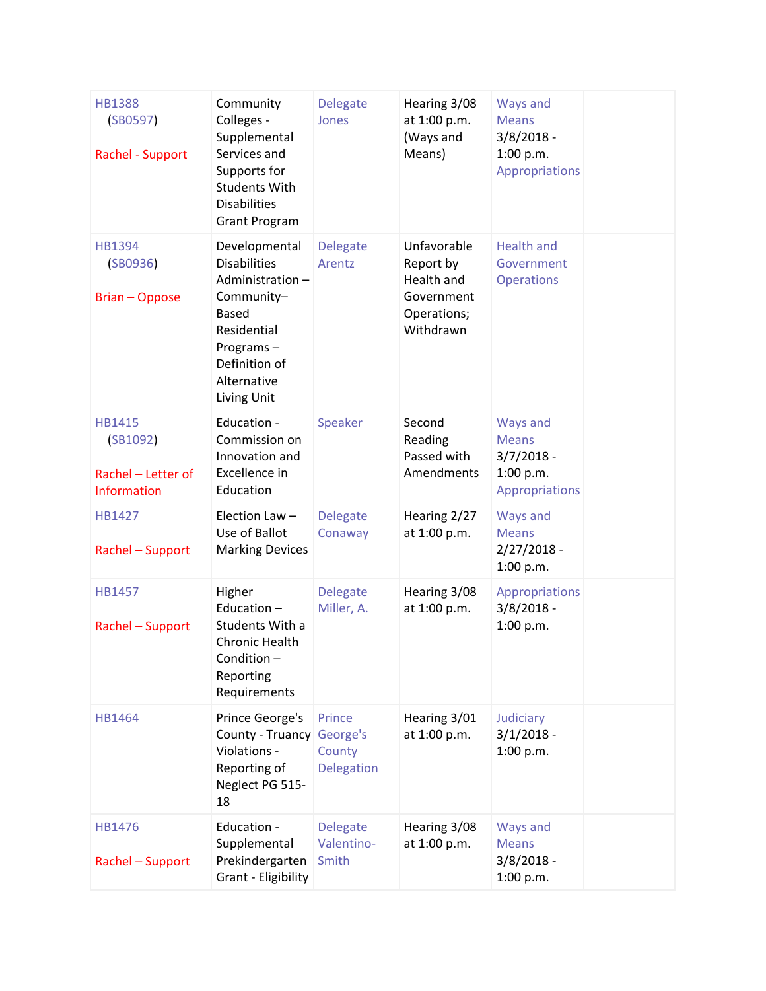| <b>HB1388</b><br>(SB0597)<br>Rachel - Support                         | Community<br>Colleges -<br>Supplemental<br>Services and<br>Supports for<br><b>Students With</b><br><b>Disabilities</b><br><b>Grant Program</b>                   | <b>Delegate</b><br>Jones               | Hearing 3/08<br>at 1:00 p.m.<br>(Ways and<br>Means)                              | Ways and<br><b>Means</b><br>$3/8/2018 -$<br>1:00 p.m.<br>Appropriations |  |
|-----------------------------------------------------------------------|------------------------------------------------------------------------------------------------------------------------------------------------------------------|----------------------------------------|----------------------------------------------------------------------------------|-------------------------------------------------------------------------|--|
| <b>HB1394</b><br>(SB0936)<br><b>Brian - Oppose</b>                    | Developmental<br><b>Disabilities</b><br>Administration-<br>Community-<br><b>Based</b><br>Residential<br>Programs-<br>Definition of<br>Alternative<br>Living Unit | <b>Delegate</b><br>Arentz              | Unfavorable<br>Report by<br>Health and<br>Government<br>Operations;<br>Withdrawn | <b>Health and</b><br>Government<br><b>Operations</b>                    |  |
| <b>HB1415</b><br>(SB1092)<br>Rachel - Letter of<br><b>Information</b> | Education -<br>Commission on<br>Innovation and<br>Excellence in<br>Education                                                                                     | Speaker                                | Second<br>Reading<br>Passed with<br>Amendments                                   | Ways and<br><b>Means</b><br>$3/7/2018 -$<br>1:00 p.m.<br>Appropriations |  |
| HB1427<br>Rachel - Support                                            | Election Law -<br>Use of Ballot<br><b>Marking Devices</b>                                                                                                        | <b>Delegate</b><br>Conaway             | Hearing 2/27<br>at 1:00 p.m.                                                     | Ways and<br><b>Means</b><br>$2/27/2018 -$<br>1:00 p.m.                  |  |
| <b>HB1457</b><br>Rachel - Support                                     | Higher<br>Education-<br>Students With a<br><b>Chronic Health</b><br>Condition-<br>Reporting<br>Requirements                                                      | <b>Delegate</b><br>Miller, A.          | Hearing 3/08<br>at 1:00 p.m.                                                     | Appropriations<br>$3/8/2018 -$<br>1:00 p.m.                             |  |
| HB1464                                                                | Prince George's<br>County - Truancy George's<br>Violations -<br>Reporting of<br>Neglect PG 515-<br>18                                                            | Prince<br>County<br>Delegation         | Hearing 3/01<br>at 1:00 p.m.                                                     | Judiciary<br>$3/1/2018 -$<br>1:00 p.m.                                  |  |
| HB1476<br>Rachel - Support                                            | Education -<br>Supplemental<br>Prekindergarten<br>Grant - Eligibility                                                                                            | <b>Delegate</b><br>Valentino-<br>Smith | Hearing 3/08<br>at 1:00 p.m.                                                     | Ways and<br><b>Means</b><br>$3/8/2018 -$<br>1:00 p.m.                   |  |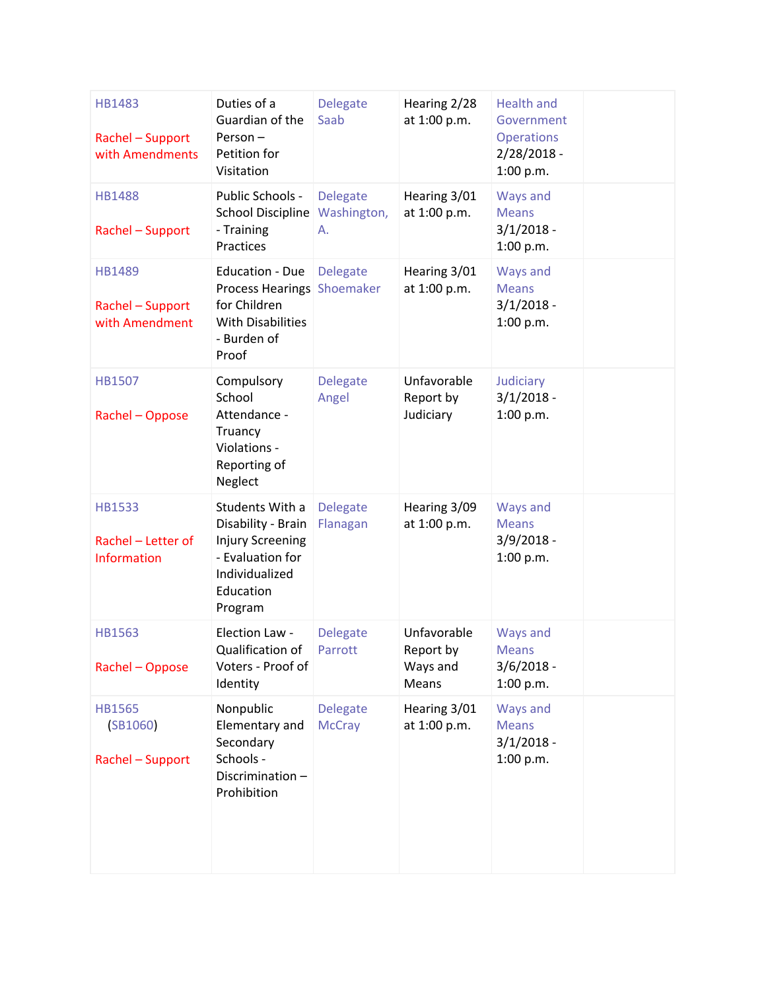| HB1483<br>Rachel - Support<br>with Amendments       | Duties of a<br>Guardian of the<br>Person-<br>Petition for<br>Visitation                                                         | <b>Delegate</b><br>Saab              | Hearing 2/28<br>at 1:00 p.m.                  | <b>Health and</b><br>Government<br><b>Operations</b><br>$2/28/2018 -$<br>1:00 p.m. |  |
|-----------------------------------------------------|---------------------------------------------------------------------------------------------------------------------------------|--------------------------------------|-----------------------------------------------|------------------------------------------------------------------------------------|--|
| <b>HB1488</b><br>Rachel - Support                   | Public Schools -<br><b>School Discipline</b><br>- Training<br>Practices                                                         | <b>Delegate</b><br>Washington,<br>Α. | Hearing 3/01<br>at 1:00 p.m.                  | Ways and<br><b>Means</b><br>$3/1/2018 -$<br>1:00 p.m.                              |  |
| <b>HB1489</b><br>Rachel - Support<br>with Amendment | <b>Education - Due</b><br><b>Process Hearings Shoemaker</b><br>for Children<br><b>With Disabilities</b><br>- Burden of<br>Proof | <b>Delegate</b>                      | Hearing 3/01<br>at 1:00 p.m.                  | Ways and<br><b>Means</b><br>$3/1/2018 -$<br>1:00 p.m.                              |  |
| <b>HB1507</b><br>Rachel - Oppose                    | Compulsory<br>School<br>Attendance -<br>Truancy<br>Violations -<br>Reporting of<br>Neglect                                      | <b>Delegate</b><br>Angel             | Unfavorable<br>Report by<br>Judiciary         | Judiciary<br>$3/1/2018 -$<br>1:00 p.m.                                             |  |
| <b>HB1533</b><br>Rachel - Letter of<br>Information  | Students With a<br>Disability - Brain<br><b>Injury Screening</b><br>- Evaluation for<br>Individualized<br>Education<br>Program  | <b>Delegate</b><br>Flanagan          | Hearing 3/09<br>at 1:00 p.m.                  | Ways and<br><b>Means</b><br>$3/9/2018 -$<br>1:00 p.m.                              |  |
| <b>HB1563</b><br>Rachel - Oppose                    | Election Law -<br>Qualification of<br>Voters - Proof of<br>Identity                                                             | <b>Delegate</b><br>Parrott           | Unfavorable<br>Report by<br>Ways and<br>Means | Ways and<br><b>Means</b><br>$3/6/2018 -$<br>1:00 p.m.                              |  |
| <b>HB1565</b><br>(SB1060)<br>Rachel - Support       | Nonpublic<br>Elementary and<br>Secondary<br>Schools -<br>Discrimination-<br>Prohibition                                         | <b>Delegate</b><br><b>McCray</b>     | Hearing 3/01<br>at 1:00 p.m.                  | Ways and<br><b>Means</b><br>$3/1/2018 -$<br>1:00 p.m.                              |  |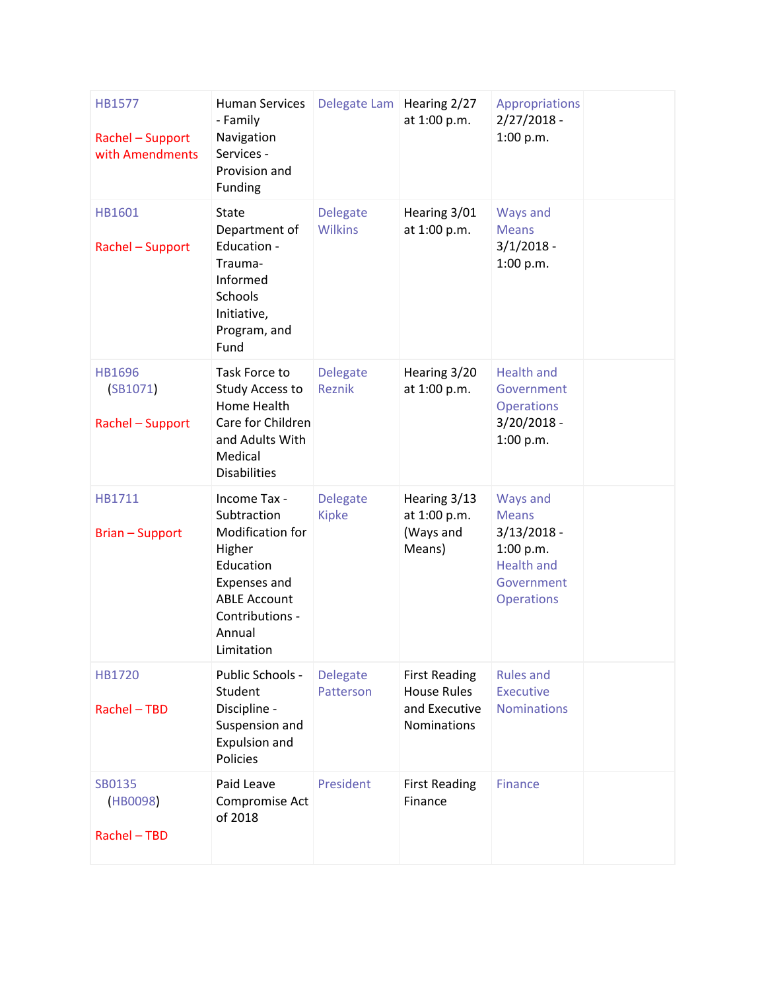| HB1577<br>Rachel - Support<br>with Amendments | <b>Human Services</b><br>- Family<br>Navigation<br>Services -<br>Provision and<br>Funding                                                                | Delegate Lam   Hearing 2/27       | at 1:00 p.m.                                                               | Appropriations<br>$2/27/2018 -$<br>1:00 p.m.                                                                   |  |
|-----------------------------------------------|----------------------------------------------------------------------------------------------------------------------------------------------------------|-----------------------------------|----------------------------------------------------------------------------|----------------------------------------------------------------------------------------------------------------|--|
| HB1601<br>Rachel - Support                    | <b>State</b><br>Department of<br>Education -<br>Trauma-<br>Informed<br>Schools<br>Initiative,<br>Program, and<br>Fund                                    | <b>Delegate</b><br><b>Wilkins</b> | Hearing 3/01<br>at 1:00 p.m.                                               | Ways and<br><b>Means</b><br>$3/1/2018 -$<br>1:00 p.m.                                                          |  |
| HB1696<br>(SB1071)<br>Rachel - Support        | Task Force to<br>Study Access to<br>Home Health<br>Care for Children<br>and Adults With<br>Medical<br><b>Disabilities</b>                                | <b>Delegate</b><br>Reznik         | Hearing 3/20<br>at 1:00 p.m.                                               | <b>Health and</b><br>Government<br><b>Operations</b><br>$3/20/2018 -$<br>1:00 p.m.                             |  |
| HB1711<br><b>Brian - Support</b>              | Income Tax -<br>Subtraction<br>Modification for<br>Higher<br>Education<br>Expenses and<br><b>ABLE Account</b><br>Contributions -<br>Annual<br>Limitation | <b>Delegate</b><br><b>Kipke</b>   | Hearing 3/13<br>at 1:00 p.m.<br>(Ways and<br>Means)                        | Ways and<br><b>Means</b><br>$3/13/2018 -$<br>1:00 p.m.<br><b>Health and</b><br>Government<br><b>Operations</b> |  |
| HB1720<br>Rachel - TBD                        | Public Schools -<br>Student<br>Discipline -<br>Suspension and<br>Expulsion and<br>Policies                                                               | <b>Delegate</b><br>Patterson      | <b>First Reading</b><br><b>House Rules</b><br>and Executive<br>Nominations | <b>Rules and</b><br><b>Executive</b><br><b>Nominations</b>                                                     |  |
| SB0135<br>(HB0098)<br>Rachel - TBD            | Paid Leave<br>Compromise Act<br>of 2018                                                                                                                  | President                         | <b>First Reading</b><br>Finance                                            | <b>Finance</b>                                                                                                 |  |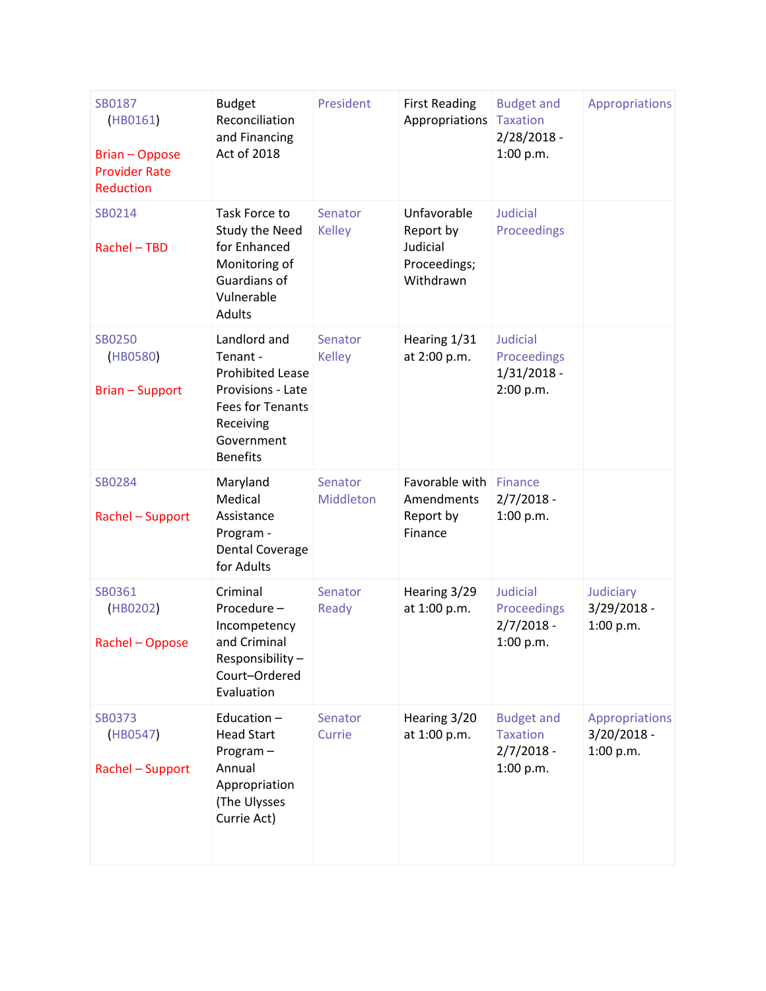| SB0187<br>(HB0161)<br><b>Brian - Oppose</b><br><b>Provider Rate</b><br>Reduction | <b>Budget</b><br>Reconciliation<br>and Financing<br>Act of 2018                                                                                   | President                | <b>First Reading</b><br>Appropriations                            | <b>Budget and</b><br><b>Taxation</b><br>$2/28/2018 -$<br>1:00 p.m. | Appropriations                               |
|----------------------------------------------------------------------------------|---------------------------------------------------------------------------------------------------------------------------------------------------|--------------------------|-------------------------------------------------------------------|--------------------------------------------------------------------|----------------------------------------------|
| SB0214<br>Rachel - TBD                                                           | Task Force to<br>Study the Need<br>for Enhanced<br>Monitoring of<br>Guardians of<br>Vulnerable<br><b>Adults</b>                                   | Senator<br><b>Kelley</b> | Unfavorable<br>Report by<br>Judicial<br>Proceedings;<br>Withdrawn | <b>Judicial</b><br>Proceedings                                     |                                              |
| <b>SB0250</b><br>(HB0580)<br><b>Brian - Support</b>                              | Landlord and<br>Tenant -<br><b>Prohibited Lease</b><br>Provisions - Late<br><b>Fees for Tenants</b><br>Receiving<br>Government<br><b>Benefits</b> | Senator<br><b>Kelley</b> | Hearing 1/31<br>at 2:00 p.m.                                      | Judicial<br>Proceedings<br>$1/31/2018 -$<br>2:00 p.m.              |                                              |
| SB0284<br>Rachel - Support                                                       | Maryland<br>Medical<br>Assistance<br>Program -<br>Dental Coverage<br>for Adults                                                                   | Senator<br>Middleton     | Favorable with<br>Amendments<br>Report by<br>Finance              | Finance<br>$2/7/2018 -$<br>1:00 p.m.                               |                                              |
| SB0361<br>(HB0202)<br>Rachel - Oppose                                            | Criminal<br>Procedure-<br>Incompetency<br>and Criminal<br>Responsibility-<br>Court-Ordered<br>Evaluation                                          | Senator<br>Ready         | Hearing 3/29<br>at 1:00 p.m.                                      | <b>Judicial</b><br>Proceedings<br>$2/7/2018 -$<br>1:00 p.m.        | Judiciary<br>3/29/2018 -<br>1:00 p.m.        |
| <b>SB0373</b><br>(HB0547)<br>Rachel - Support                                    | Education-<br><b>Head Start</b><br>Program-<br>Annual<br>Appropriation<br>(The Ulysses<br>Currie Act)                                             | Senator<br>Currie        | Hearing 3/20<br>at 1:00 p.m.                                      | <b>Budget and</b><br><b>Taxation</b><br>$2/7/2018 -$<br>1:00 p.m.  | Appropriations<br>$3/20/2018 -$<br>1:00 p.m. |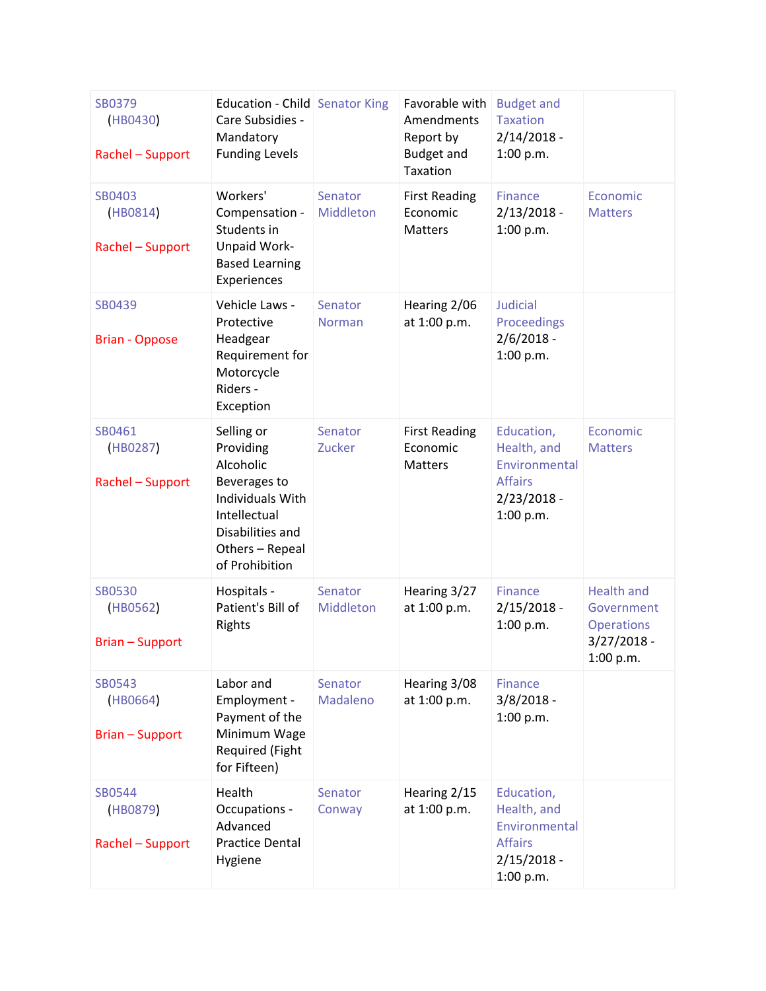| SB0379<br>(HB0430)<br>Rachel - Support       | Education - Child Senator King<br>Care Subsidies -<br>Mandatory<br><b>Funding Levels</b>                                                                 |                          | Favorable with<br>Amendments<br>Report by<br><b>Budget and</b><br>Taxation | <b>Budget and</b><br><b>Taxation</b><br>$2/14/2018 -$<br>1:00 p.m.                         |                                                                                    |
|----------------------------------------------|----------------------------------------------------------------------------------------------------------------------------------------------------------|--------------------------|----------------------------------------------------------------------------|--------------------------------------------------------------------------------------------|------------------------------------------------------------------------------------|
| SB0403<br>(HB0814)<br>Rachel - Support       | Workers'<br>Compensation -<br>Students in<br>Unpaid Work-<br><b>Based Learning</b><br>Experiences                                                        | Senator<br>Middleton     | <b>First Reading</b><br>Economic<br><b>Matters</b>                         | <b>Finance</b><br>$2/13/2018 -$<br>1:00 p.m.                                               | Economic<br><b>Matters</b>                                                         |
| SB0439<br><b>Brian - Oppose</b>              | Vehicle Laws -<br>Protective<br>Headgear<br>Requirement for<br>Motorcycle<br>Riders -<br>Exception                                                       | Senator<br><b>Norman</b> | Hearing 2/06<br>at 1:00 p.m.                                               | <b>Judicial</b><br>Proceedings<br>$2/6/2018 -$<br>1:00 p.m.                                |                                                                                    |
| SB0461<br>(HB0287)<br>Rachel - Support       | Selling or<br>Providing<br>Alcoholic<br>Beverages to<br><b>Individuals With</b><br>Intellectual<br>Disabilities and<br>Others - Repeal<br>of Prohibition | Senator<br>Zucker        | <b>First Reading</b><br>Economic<br><b>Matters</b>                         | Education,<br>Health, and<br>Environmental<br><b>Affairs</b><br>$2/23/2018 -$<br>1:00 p.m. | Economic<br><b>Matters</b>                                                         |
| <b>SB0530</b><br>(HB0562)<br>Brian - Support | Hospitals -<br>Patient's Bill of<br>Rights                                                                                                               | Senator<br>Middleton     | Hearing 3/27<br>at 1:00 p.m.                                               | <b>Finance</b><br>$2/15/2018 -$<br>1:00 p.m.                                               | <b>Health and</b><br>Government<br><b>Operations</b><br>$3/27/2018 -$<br>1:00 p.m. |
| SB0543<br>(HB0664)<br><b>Brian-Support</b>   | Labor and<br>Employment -<br>Payment of the<br>Minimum Wage<br>Required (Fight<br>for Fifteen)                                                           | Senator<br>Madaleno      | Hearing 3/08<br>at 1:00 p.m.                                               | <b>Finance</b><br>$3/8/2018 -$<br>1:00 p.m.                                                |                                                                                    |
| SB0544<br>(HB0879)<br>Rachel - Support       | Health<br>Occupations -<br>Advanced<br><b>Practice Dental</b><br>Hygiene                                                                                 | Senator<br>Conway        | Hearing 2/15<br>at 1:00 p.m.                                               | Education,<br>Health, and<br>Environmental<br><b>Affairs</b><br>$2/15/2018 -$<br>1:00 p.m. |                                                                                    |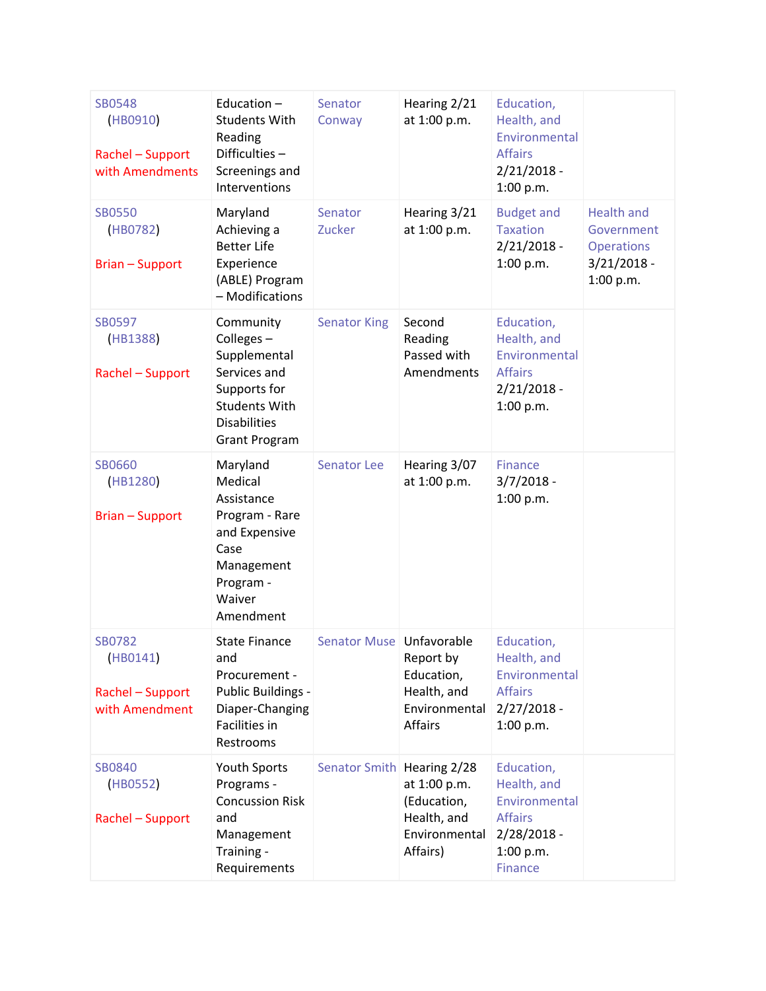| <b>SB0548</b><br>(HB0910)<br>Rachel - Support<br>with Amendments | Education $-$<br><b>Students With</b><br>Reading<br>Difficulties-<br>Screenings and<br>Interventions                                          | Senator<br>Conway          | Hearing 2/21<br>at 1:00 p.m.                                            | Education,<br>Health, and<br>Environmental<br><b>Affairs</b><br>$2/21/2018 -$<br>1:00 p.m.                   |                                                                                    |
|------------------------------------------------------------------|-----------------------------------------------------------------------------------------------------------------------------------------------|----------------------------|-------------------------------------------------------------------------|--------------------------------------------------------------------------------------------------------------|------------------------------------------------------------------------------------|
| <b>SB0550</b><br>(HB0782)<br><b>Brian - Support</b>              | Maryland<br>Achieving a<br><b>Better Life</b><br>Experience<br>(ABLE) Program<br>- Modifications                                              | Senator<br>Zucker          | Hearing 3/21<br>at 1:00 p.m.                                            | <b>Budget and</b><br><b>Taxation</b><br>$2/21/2018 -$<br>1:00 p.m.                                           | <b>Health and</b><br>Government<br><b>Operations</b><br>$3/21/2018 -$<br>1:00 p.m. |
| <b>SB0597</b><br>(HB1388)<br>Rachel - Support                    | Community<br>Colleges-<br>Supplemental<br>Services and<br>Supports for<br><b>Students With</b><br><b>Disabilities</b><br><b>Grant Program</b> | <b>Senator King</b>        | Second<br>Reading<br>Passed with<br>Amendments                          | Education,<br>Health, and<br>Environmental<br><b>Affairs</b><br>$2/21/2018 -$<br>1:00 p.m.                   |                                                                                    |
| <b>SB0660</b><br>(HB1280)<br><b>Brian - Support</b>              | Maryland<br>Medical<br>Assistance<br>Program - Rare<br>and Expensive<br>Case<br>Management<br>Program -<br>Waiver<br>Amendment                | <b>Senator Lee</b>         | Hearing 3/07<br>at 1:00 p.m.                                            | <b>Finance</b><br>$3/7/2018 -$<br>1:00 p.m.                                                                  |                                                                                    |
| <b>SB0782</b><br>(HB0141)<br>Rachel - Support<br>with Amendment  | <b>State Finance</b><br>and<br>Procurement -<br>Public Buildings -<br>Diaper-Changing<br>Facilities in<br>Restrooms                           | Senator Muse   Unfavorable | Report by<br>Education,<br>Health, and<br>Environmental<br>Affairs      | Education,<br>Health, and<br>Environmental<br><b>Affairs</b><br>$2/27/2018 -$<br>1:00 p.m.                   |                                                                                    |
| SB0840<br>(HB0552)<br>Rachel - Support                           | <b>Youth Sports</b><br>Programs -<br><b>Concussion Risk</b><br>and<br>Management<br>Training -<br>Requirements                                | Senator Smith Hearing 2/28 | at 1:00 p.m.<br>(Education,<br>Health, and<br>Environmental<br>Affairs) | Education,<br>Health, and<br>Environmental<br><b>Affairs</b><br>$2/28/2018 -$<br>1:00 p.m.<br><b>Finance</b> |                                                                                    |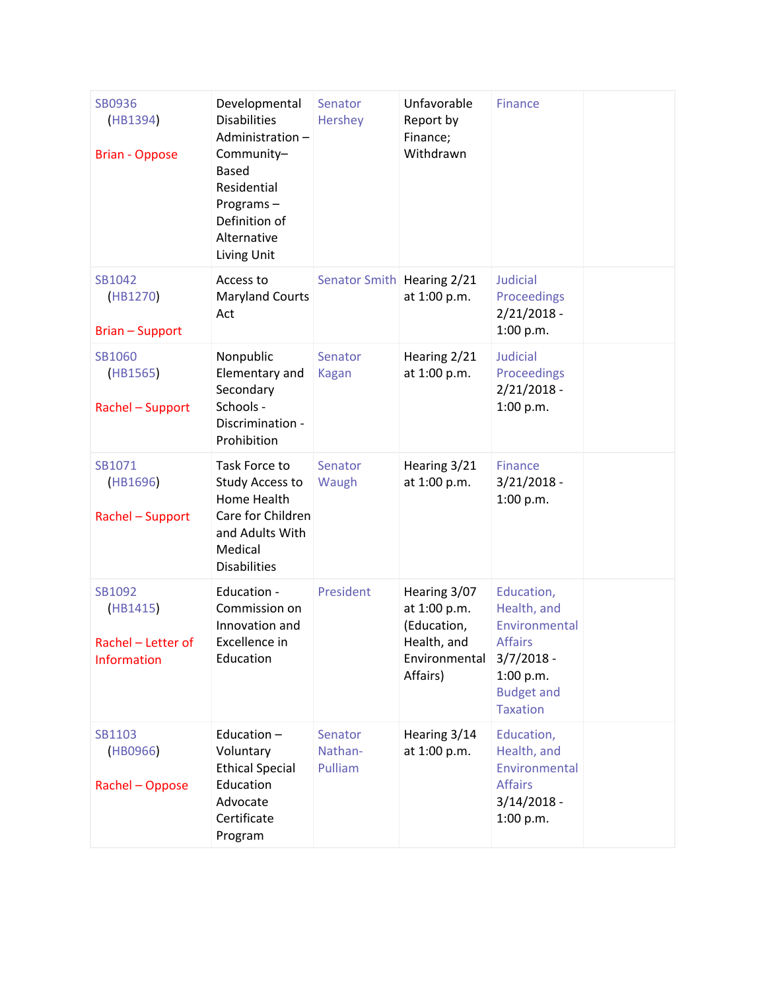| SB0936<br>(HB1394)<br><b>Brian - Oppose</b>             | Developmental<br><b>Disabilities</b><br>Administration-<br>Community-<br><b>Based</b><br>Residential<br>Programs-<br>Definition of<br>Alternative<br>Living Unit | Senator<br>Hershey            | Unfavorable<br>Report by<br>Finance;<br>Withdrawn                                       | <b>Finance</b>                                                                                                                    |  |
|---------------------------------------------------------|------------------------------------------------------------------------------------------------------------------------------------------------------------------|-------------------------------|-----------------------------------------------------------------------------------------|-----------------------------------------------------------------------------------------------------------------------------------|--|
| SB1042<br>(HB1270)<br>Brian - Support                   | Access to<br><b>Maryland Courts</b><br>Act                                                                                                                       | Senator Smith Hearing 2/21    | at 1:00 p.m.                                                                            | Judicial<br>Proceedings<br>$2/21/2018 -$<br>1:00 p.m.                                                                             |  |
| SB1060<br>(HB1565)<br>Rachel - Support                  | Nonpublic<br>Elementary and<br>Secondary<br>Schools -<br>Discrimination -<br>Prohibition                                                                         | Senator<br><b>Kagan</b>       | Hearing 2/21<br>at 1:00 p.m.                                                            | <b>Judicial</b><br>Proceedings<br>$2/21/2018 -$<br>1:00 p.m.                                                                      |  |
| SB1071<br>(HB1696)<br>Rachel - Support                  | Task Force to<br>Study Access to<br>Home Health<br>Care for Children<br>and Adults With<br>Medical<br><b>Disabilities</b>                                        | Senator<br>Waugh              | Hearing 3/21<br>at 1:00 p.m.                                                            | <b>Finance</b><br>$3/21/2018 -$<br>1:00 p.m.                                                                                      |  |
| SB1092<br>(HB1415)<br>Rachel - Letter of<br>Information | Education -<br>Commission on<br>Innovation and<br>Excellence in<br>Education                                                                                     | President                     | Hearing 3/07<br>at 1:00 p.m.<br>(Education,<br>Health, and<br>Environmental<br>Affairs) | Education,<br>Health, and<br>Environmental<br><b>Affairs</b><br>$3/7/2018 -$<br>1:00 p.m.<br><b>Budget and</b><br><b>Taxation</b> |  |
| SB1103<br>(HB0966)<br>Rachel - Oppose                   | Education $-$<br>Voluntary<br><b>Ethical Special</b><br>Education<br>Advocate<br>Certificate<br>Program                                                          | Senator<br>Nathan-<br>Pulliam | Hearing 3/14<br>at 1:00 p.m.                                                            | Education,<br>Health, and<br>Environmental<br><b>Affairs</b><br>$3/14/2018 -$<br>1:00 p.m.                                        |  |